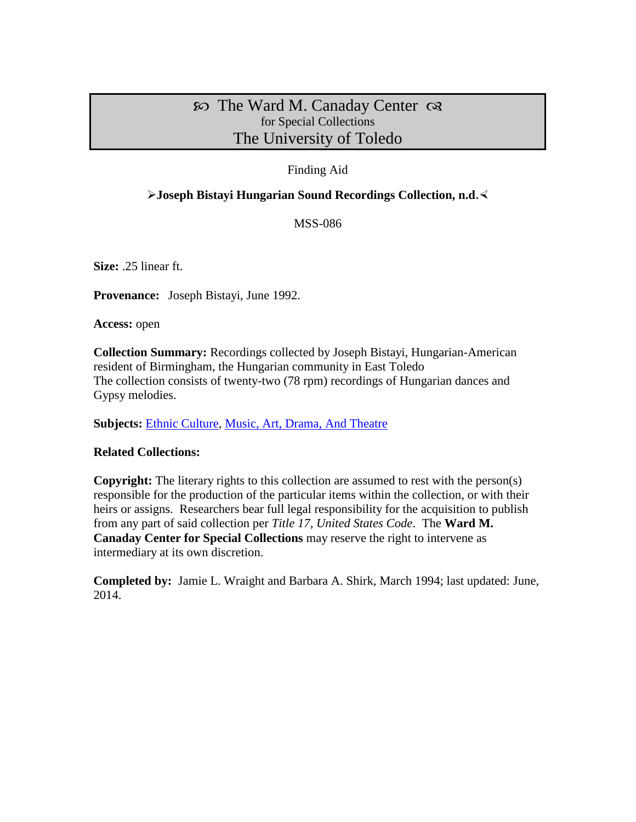# $\infty$  The Ward M. Canaday Center  $\infty$ for Special Collections The University of Toledo

## Finding Aid

## **Joseph Bistayi Hungarian Sound Recordings Collection, n.d.**

MSS-086

**Size:** .25 linear ft.

**Provenance:** Joseph Bistayi, June 1992.

**Access:** open

**Collection Summary:** Recordings collected by Joseph Bistayi, Hungarian-American resident of Birmingham, the Hungarian community in East Toledo The collection consists of twenty-two (78 rpm) recordings of Hungarian dances and Gypsy melodies.

**Subjects:** [Ethnic Culture,](http://www.utoledo.edu/library/canaday/guidepages/ethnic.html) [Music, Art, Drama, And Theatre](http://www.utoledo.edu/library/canaday/guidepages/music.html)

## **Related Collections:**

**Copyright:** The literary rights to this collection are assumed to rest with the person(s) responsible for the production of the particular items within the collection, or with their heirs or assigns. Researchers bear full legal responsibility for the acquisition to publish from any part of said collection per *Title 17, United States Code*. The **Ward M. Canaday Center for Special Collections** may reserve the right to intervene as intermediary at its own discretion.

**Completed by:** Jamie L. Wraight and Barbara A. Shirk, March 1994; last updated: June, 2014.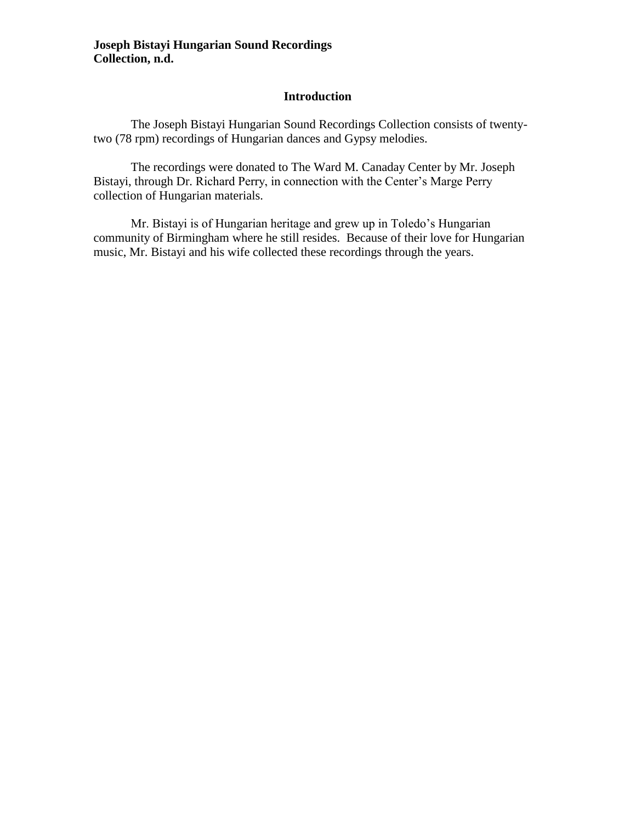#### **Introduction**

The Joseph Bistayi Hungarian Sound Recordings Collection consists of twentytwo (78 rpm) recordings of Hungarian dances and Gypsy melodies.

The recordings were donated to The Ward M. Canaday Center by Mr. Joseph Bistayi, through Dr. Richard Perry, in connection with the Center's Marge Perry collection of Hungarian materials.

Mr. Bistayi is of Hungarian heritage and grew up in Toledo's Hungarian community of Birmingham where he still resides. Because of their love for Hungarian music, Mr. Bistayi and his wife collected these recordings through the years.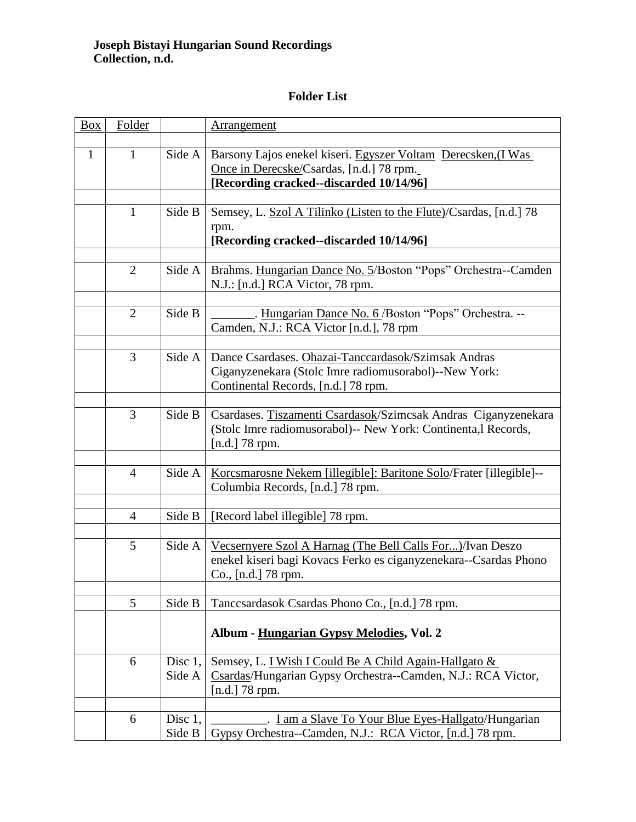## **Folder List**

| <b>Box</b>   | Folder         |         | <b>Arrangement</b>                                                                                        |
|--------------|----------------|---------|-----------------------------------------------------------------------------------------------------------|
|              |                |         |                                                                                                           |
| $\mathbf{1}$ | 1              | Side A  | Barsony Lajos enekel kiseri. Egyszer Voltam Derecsken, (I Was<br>Once in Derecske/Csardas, [n.d.] 78 rpm. |
|              |                |         | [Recording cracked--discarded 10/14/96]                                                                   |
|              |                |         |                                                                                                           |
|              | 1              | Side B  | Semsey, L. Szol A Tilinko (Listen to the Flute)/Csardas, [n.d.] 78                                        |
|              |                |         | rpm.                                                                                                      |
|              |                |         | [Recording cracked--discarded 10/14/96]                                                                   |
|              | $\overline{2}$ | Side A  | Brahms. Hungarian Dance No. 5/Boston "Pops" Orchestra--Camden                                             |
|              |                |         | N.J.: [n.d.] RCA Victor, 78 rpm.                                                                          |
|              |                |         |                                                                                                           |
|              | $\overline{2}$ | Side B  | . Hungarian Dance No. 6/Boston "Pops" Orchestra. --                                                       |
|              |                |         | Camden, N.J.: RCA Victor [n.d.], 78 rpm                                                                   |
|              |                |         |                                                                                                           |
|              | 3              | Side A  | Dance Csardases. Ohazai-Tanccardasok/Szimsak Andras                                                       |
|              |                |         | Ciganyzenekara (Stolc Imre radiomusorabol)--New York:                                                     |
|              |                |         | Continental Records, [n.d.] 78 rpm.                                                                       |
|              | 3              | Side B  | Csardases. Tiszamenti Csardasok/Szimcsak Andras Ciganyzenekara                                            |
|              |                |         | (Stolc Imre radiomusorabol)-- New York: Continenta, l Records,                                            |
|              |                |         | [n.d.] $78$ rpm.                                                                                          |
|              |                |         |                                                                                                           |
|              | $\overline{4}$ | Side A  | Korcsmarosne Nekem [illegible]: Baritone Solo/Frater [illegible]--                                        |
|              |                |         | Columbia Records, [n.d.] 78 rpm.                                                                          |
|              |                |         |                                                                                                           |
|              | $\overline{4}$ | Side B  | [Record label illegible] 78 rpm.                                                                          |
|              | 5              | Side A  | Vecsernyere Szol A Harnag (The Bell Calls For)/Ivan Deszo                                                 |
|              |                |         | enekel kiseri bagi Kovacs Ferko es ciganyzenekara--Csardas Phono                                          |
|              |                |         | Co., [n.d.] 78 rpm.                                                                                       |
|              |                |         |                                                                                                           |
|              | $\overline{5}$ | Side B  | Tancesardasok Csardas Phono Co., [n.d.] 78 rpm.                                                           |
|              |                |         |                                                                                                           |
|              |                |         | Album - Hungarian Gypsy Melodies, Vol. 2                                                                  |
|              |                |         |                                                                                                           |
|              | 6              | Disc 1, | Semsey, L. <u>I Wish I Could Be A Child Again-Hallgato &amp;</u>                                          |
|              |                | Side A  | Csardas/Hungarian Gypsy Orchestra--Camden, N.J.: RCA Victor,<br>[ $n.d.]$ 78 rpm.                         |
|              |                |         |                                                                                                           |
|              | 6              | Disc 1, | <u>I am a Slave To Your Blue Eyes-Hallgato</u> /Hungarian                                                 |
|              |                | Side B  | Gypsy Orchestra--Camden, N.J.: RCA Victor, [n.d.] 78 rpm.                                                 |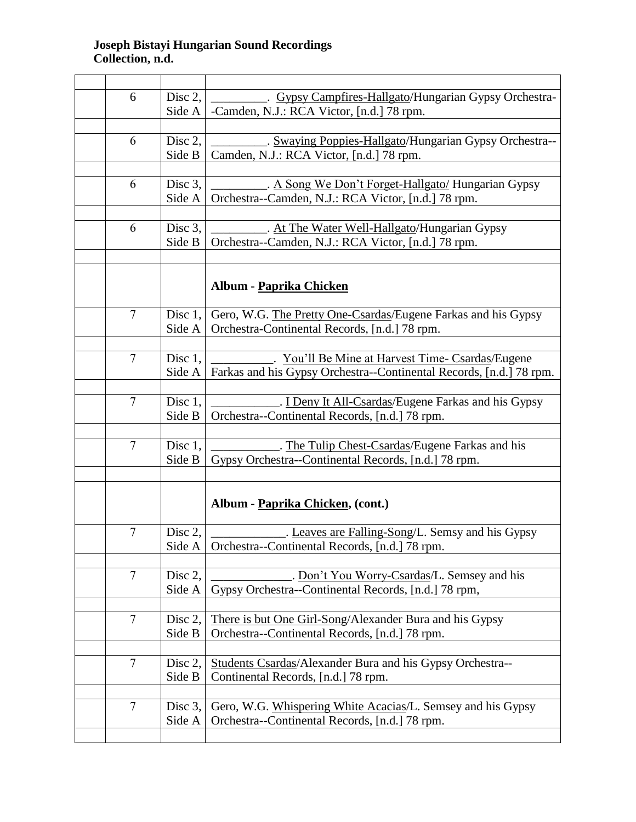| 6              | Disc 2, | Gypsy Campfires-Hallgato/Hungarian Gypsy Orchestra-                 |
|----------------|---------|---------------------------------------------------------------------|
|                | Side A  | -Camden, N.J.: RCA Victor, [n.d.] 78 rpm.                           |
|                |         |                                                                     |
| 6              |         |                                                                     |
|                | Disc 2, | . Swaying Poppies-Hallgato/Hungarian Gypsy Orchestra--              |
|                | Side B  | Camden, N.J.: RCA Victor, [n.d.] 78 rpm.                            |
|                |         |                                                                     |
| 6              | Disc 3, | . A Song We Don't Forget-Hallgato/ Hungarian Gypsy                  |
|                | Side A  | Orchestra--Camden, N.J.: RCA Victor, [n.d.] 78 rpm.                 |
|                |         |                                                                     |
|                |         |                                                                     |
| 6              | Disc 3, | . At The Water Well-Hallgato/Hungarian Gypsy                        |
|                | Side B  | Orchestra--Camden, N.J.: RCA Victor, [n.d.] 78 rpm.                 |
|                |         |                                                                     |
|                |         |                                                                     |
|                |         | Album - Paprika Chicken                                             |
|                |         |                                                                     |
| $\overline{7}$ | Disc 1, | Gero, W.G. The Pretty One-Csardas/Eugene Farkas and his Gypsy       |
|                |         |                                                                     |
|                | Side A  | Orchestra-Continental Records, [n.d.] 78 rpm.                       |
|                |         |                                                                     |
| $\overline{7}$ | Disc 1, | You'll Be Mine at Harvest Time- Csardas/Eugene                      |
|                | Side A  | Farkas and his Gypsy Orchestra--Continental Records, [n.d.] 78 rpm. |
|                |         |                                                                     |
| $\overline{7}$ | Disc 1, | . I Deny It All-Csardas/Eugene Farkas and his Gypsy                 |
|                |         |                                                                     |
|                | Side B  | Orchestra--Continental Records, [n.d.] 78 rpm.                      |
|                |         |                                                                     |
| $\overline{7}$ | Disc 1, | The Tulip Chest-Csardas/Eugene Farkas and his                       |
|                | Side B  | Gypsy Orchestra--Continental Records, [n.d.] 78 rpm.                |
|                |         |                                                                     |
|                |         |                                                                     |
|                |         | Album - Paprika Chicken, (cont.)                                    |
|                |         |                                                                     |
|                |         |                                                                     |
| 7              | Disc 2, | Leaves are Falling-Song/L. Semsy and his Gypsy                      |
|                | Side A  | Orchestra--Continental Records, [n.d.] 78 rpm.                      |
|                |         |                                                                     |
| $\overline{7}$ | Disc 2, | Don't You Worry-Csardas/L. Semsey and his                           |
|                | Side A  | Gypsy Orchestra--Continental Records, [n.d.] 78 rpm,                |
|                |         |                                                                     |
| $\overline{7}$ |         |                                                                     |
|                | Disc 2, | There is but One Girl-Song/Alexander Bura and his Gypsy             |
|                | Side B  | Orchestra--Continental Records, [n.d.] 78 rpm.                      |
|                |         |                                                                     |
| $\overline{7}$ | Disc 2, | Students Csardas/Alexander Bura and his Gypsy Orchestra--           |
|                | Side B  | Continental Records, [n.d.] 78 rpm.                                 |
|                |         |                                                                     |
|                |         |                                                                     |
| $\overline{7}$ | Disc 3, | Gero, W.G. Whispering White Acacias/L. Semsey and his Gypsy         |
|                | Side A  | Orchestra--Continental Records, [n.d.] 78 rpm.                      |
|                |         |                                                                     |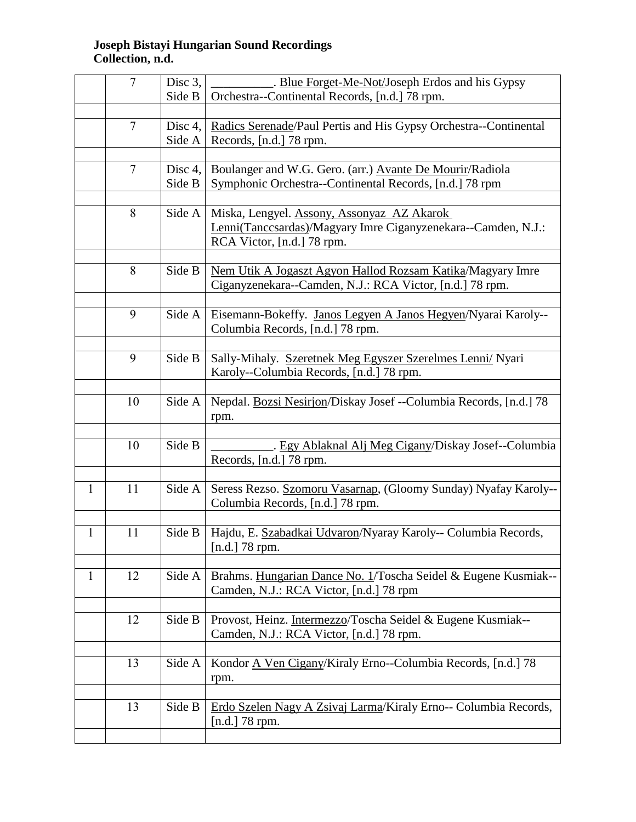|              | $\overline{7}$ | Disc 3,    | Blue Forget-Me-Not/Joseph Erdos and his Gypsy                     |
|--------------|----------------|------------|-------------------------------------------------------------------|
|              |                | Side B     | Orchestra--Continental Records, [n.d.] 78 rpm.                    |
|              |                |            |                                                                   |
|              | $\overline{7}$ | Disc 4,    | Radics Serenade/Paul Pertis and His Gypsy Orchestra--Continental  |
|              |                | Side A     | Records, [n.d.] 78 rpm.                                           |
|              |                |            |                                                                   |
|              | $\overline{7}$ | Disc $4$ , | Boulanger and W.G. Gero. (arr.) Avante De Mourir/Radiola          |
|              |                | Side B     | Symphonic Orchestra--Continental Records, [n.d.] 78 rpm           |
|              |                |            |                                                                   |
|              | 8              | Side A     | Miska, Lengyel. Assony, Assonyaz AZ Akarok                        |
|              |                |            | Lenni(Tanccsardas)/Magyary Imre Ciganyzenekara--Camden, N.J.:     |
|              |                |            | RCA Victor, [n.d.] 78 rpm.                                        |
|              |                |            |                                                                   |
|              | 8              | Side B     | Nem Utik A Jogaszt Agyon Hallod Rozsam Katika/Magyary Imre        |
|              |                |            | Ciganyzenekara--Camden, N.J.: RCA Victor, [n.d.] 78 rpm.          |
|              |                |            |                                                                   |
|              | 9              | Side A     | Eisemann-Bokeffy. Janos Legyen A Janos Hegyen/Nyarai Karoly--     |
|              |                |            | Columbia Records, [n.d.] 78 rpm.                                  |
|              |                |            |                                                                   |
|              | 9              | Side B     | Sally-Mihaly. Szeretnek Meg Egyszer Szerelmes Lenni/ Nyari        |
|              |                |            | Karoly--Columbia Records, [n.d.] 78 rpm.                          |
|              |                |            |                                                                   |
|              | 10             | Side A     | Nepdal. Bozsi Nesirjon/Diskay Josef --Columbia Records, [n.d.] 78 |
|              |                |            | rpm.                                                              |
|              |                |            |                                                                   |
|              | 10             | Side B     | . Egy Ablaknal Alj Meg Cigany/Diskay Josef--Columbia              |
|              |                |            | Records, [n.d.] 78 rpm.                                           |
|              |                |            |                                                                   |
| $\mathbf{1}$ | 11             | Side A     | Seress Rezso. Szomoru Vasarnap, (Gloomy Sunday) Nyafay Karoly--   |
|              |                |            | Columbia Records, [n.d.] 78 rpm.                                  |
|              |                |            |                                                                   |
| $\mathbf{1}$ | 11             | Side B     | Hajdu, E. Szabadkai Udvaron/Nyaray Karoly-- Columbia Records,     |
|              |                |            | [n.d.] $78$ rpm.                                                  |
|              |                |            |                                                                   |
| 1            | 12             | Side A     | Brahms. Hungarian Dance No. 1/Toscha Seidel & Eugene Kusmiak--    |
|              |                |            | Camden, N.J.: RCA Victor, [n.d.] 78 rpm                           |
|              |                |            |                                                                   |
|              | 12             | Side B     | Provost, Heinz. Intermezzo/Toscha Seidel & Eugene Kusmiak--       |
|              |                |            | Camden, N.J.: RCA Victor, [n.d.] 78 rpm.                          |
|              |                |            |                                                                   |
|              | 13             | Side A     | Kondor A Ven Cigany/Kiraly Erno--Columbia Records, [n.d.] 78      |
|              |                |            |                                                                   |
|              |                |            | rpm.                                                              |
|              | 13             | Side B     | Erdo Szelen Nagy A Zsivaj Larma/Kiraly Erno-- Columbia Records,   |
|              |                |            | [n.d.] $78$ rpm.                                                  |
|              |                |            |                                                                   |
|              |                |            |                                                                   |